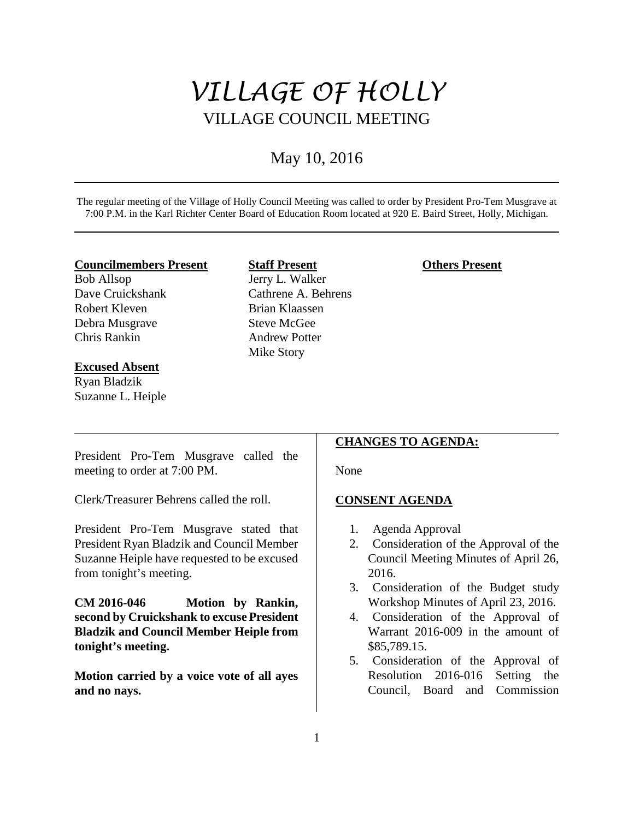# *VILLAGE OF HOLLY* VILLAGE COUNCIL MEETING

## May 10, 2016

The regular meeting of the Village of Holly Council Meeting was called to order by President Pro-Tem Musgrave at 7:00 P.M. in the Karl Richter Center Board of Education Room located at 920 E. Baird Street, Holly, Michigan.

#### **Councilmembers Present**

Bob Allsop Dave Cruickshank Robert Kleven Debra Musgrave Chris Rankin

#### **Excused Absent**

Ryan Bladzik Suzanne L. Heiple

## **Staff Present**

Jerry L. Walker Cathrene A. Behrens Brian Klaassen Steve McGee Andrew Potter Mike Story

## **Others Present**

President Pro-Tem Musgrave called the meeting to order at 7:00 PM.

Clerk/Treasurer Behrens called the roll.

President Pro-Tem Musgrave stated that President Ryan Bladzik and Council Member Suzanne Heiple have requested to be excused from tonight's meeting.

**CM 2016-046 Motion by Rankin, second by Cruickshank to excuse President Bladzik and Council Member Heiple from tonight's meeting.**

**Motion carried by a voice vote of all ayes and no nays.** 

## **CHANGES TO AGENDA:**

None

## **CONSENT AGENDA**

- 1. Agenda Approval
- 2. Consideration of the Approval of the Council Meeting Minutes of April 26, 2016.
- 3. Consideration of the Budget study Workshop Minutes of April 23, 2016.
- 4. Consideration of the Approval of Warrant 2016-009 in the amount of \$85,789.15.
- 5. Consideration of the Approval of Resolution 2016-016 Setting the Council, Board and Commission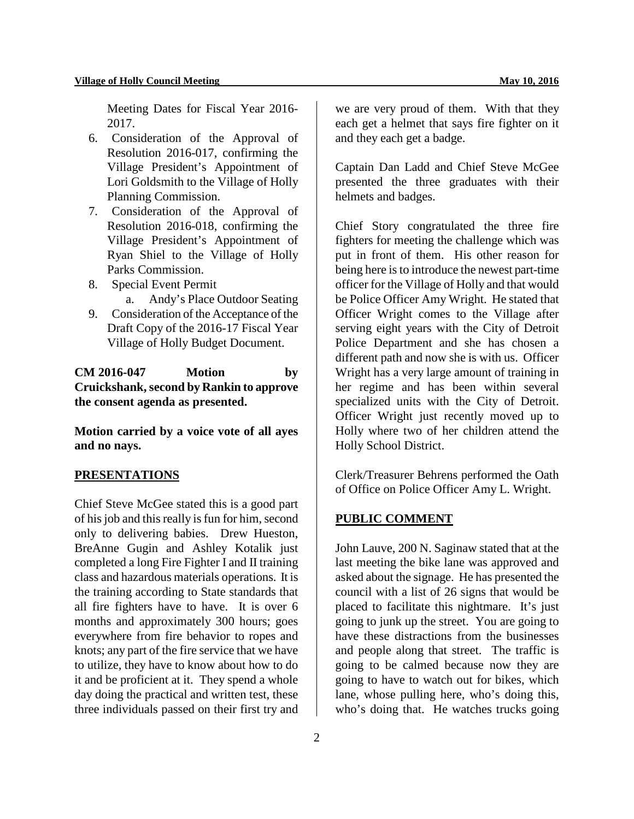Meeting Dates for Fiscal Year 2016- 2017.

- 6. Consideration of the Approval of Resolution 2016-017, confirming the Village President's Appointment of Lori Goldsmith to the Village of Holly Planning Commission.
- 7. Consideration of the Approval of Resolution 2016-018, confirming the Village President's Appointment of Ryan Shiel to the Village of Holly Parks Commission.
- 8. Special Event Permit
	- a. Andy's Place Outdoor Seating
- 9. Consideration of the Acceptance of the Draft Copy of the 2016-17 Fiscal Year Village of Holly Budget Document.

**CM 2016-047 Motion by Cruickshank, second by Rankin to approve the consent agenda as presented.** 

**Motion carried by a voice vote of all ayes and no nays.** 

#### **PRESENTATIONS**

Chief Steve McGee stated this is a good part of his job and this really is fun for him, second only to delivering babies. Drew Hueston, BreAnne Gugin and Ashley Kotalik just completed a long Fire Fighter I and II training class and hazardous materials operations. It is the training according to State standards that all fire fighters have to have. It is over 6 months and approximately 300 hours; goes everywhere from fire behavior to ropes and knots; any part of the fire service that we have to utilize, they have to know about how to do it and be proficient at it. They spend a whole day doing the practical and written test, these three individuals passed on their first try and

we are very proud of them. With that they each get a helmet that says fire fighter on it and they each get a badge.

Captain Dan Ladd and Chief Steve McGee presented the three graduates with their helmets and badges.

Chief Story congratulated the three fire fighters for meeting the challenge which was put in front of them. His other reason for being here is to introduce the newest part-time officer for the Village of Holly and that would be Police Officer Amy Wright. He stated that Officer Wright comes to the Village after serving eight years with the City of Detroit Police Department and she has chosen a different path and now she is with us. Officer Wright has a very large amount of training in her regime and has been within several specialized units with the City of Detroit. Officer Wright just recently moved up to Holly where two of her children attend the Holly School District.

Clerk/Treasurer Behrens performed the Oath of Office on Police Officer Amy L. Wright.

## **PUBLIC COMMENT**

John Lauve, 200 N. Saginaw stated that at the last meeting the bike lane was approved and asked about the signage. He has presented the council with a list of 26 signs that would be placed to facilitate this nightmare. It's just going to junk up the street. You are going to have these distractions from the businesses and people along that street. The traffic is going to be calmed because now they are going to have to watch out for bikes, which lane, whose pulling here, who's doing this, who's doing that. He watches trucks going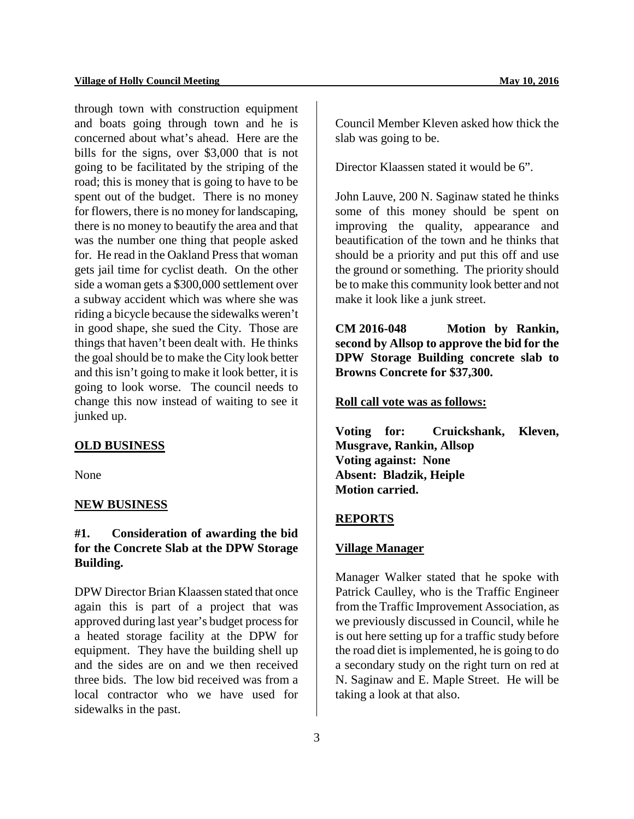through town with construction equipment and boats going through town and he is concerned about what's ahead. Here are the bills for the signs, over \$3,000 that is not going to be facilitated by the striping of the road; this is money that is going to have to be spent out of the budget. There is no money for flowers, there is no money for landscaping, there is no money to beautify the area and that was the number one thing that people asked for. He read in the Oakland Press that woman gets jail time for cyclist death. On the other side a woman gets a \$300,000 settlement over a subway accident which was where she was riding a bicycle because the sidewalks weren't in good shape, she sued the City. Those are things that haven't been dealt with. He thinks the goal should be to make the City look better and this isn't going to make it look better, it is going to look worse. The council needs to change this now instead of waiting to see it junked up.

### **OLD BUSINESS**

None

#### **NEW BUSINESS**

## **#1. Consideration of awarding the bid for the Concrete Slab at the DPW Storage Building.**

DPW Director Brian Klaassen stated that once again this is part of a project that was approved during last year's budget process for a heated storage facility at the DPW for equipment. They have the building shell up and the sides are on and we then received three bids. The low bid received was from a local contractor who we have used for sidewalks in the past.

Council Member Kleven asked how thick the slab was going to be.

Director Klaassen stated it would be 6".

John Lauve, 200 N. Saginaw stated he thinks some of this money should be spent on improving the quality, appearance and beautification of the town and he thinks that should be a priority and put this off and use the ground or something. The priority should be to make this community look better and not make it look like a junk street.

**CM 2016-048 Motion by Rankin, second by Allsop to approve the bid for the DPW Storage Building concrete slab to Browns Concrete for \$37,300.** 

#### **Roll call vote was as follows:**

**Voting for: Cruickshank, Kleven, Musgrave, Rankin, Allsop Voting against: None Absent: Bladzik, Heiple Motion carried.** 

#### **REPORTS**

#### **Village Manager**

Manager Walker stated that he spoke with Patrick Caulley, who is the Traffic Engineer from the Traffic Improvement Association, as we previously discussed in Council, while he is out here setting up for a traffic study before the road diet is implemented, he is going to do a secondary study on the right turn on red at N. Saginaw and E. Maple Street. He will be taking a look at that also.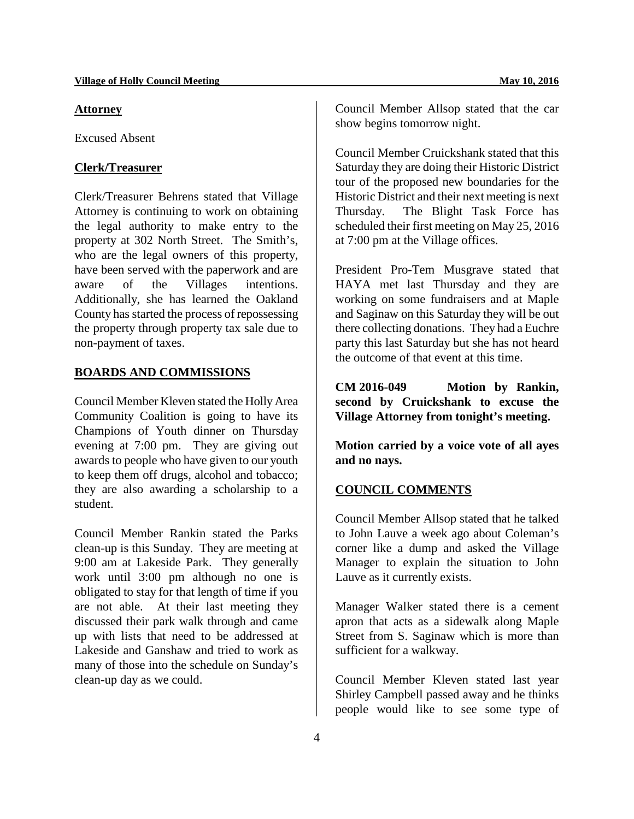#### **Attorney**

Excused Absent

### **Clerk/Treasurer**

Clerk/Treasurer Behrens stated that Village Attorney is continuing to work on obtaining the legal authority to make entry to the property at 302 North Street. The Smith's, who are the legal owners of this property, have been served with the paperwork and are aware of the Villages intentions. Additionally, she has learned the Oakland County has started the process of repossessing the property through property tax sale due to non-payment of taxes.

### **BOARDS AND COMMISSIONS**

Council Member Kleven stated the Holly Area Community Coalition is going to have its Champions of Youth dinner on Thursday evening at 7:00 pm. They are giving out awards to people who have given to our youth to keep them off drugs, alcohol and tobacco; they are also awarding a scholarship to a student.

Council Member Rankin stated the Parks clean-up is this Sunday. They are meeting at 9:00 am at Lakeside Park. They generally work until 3:00 pm although no one is obligated to stay for that length of time if you are not able. At their last meeting they discussed their park walk through and came up with lists that need to be addressed at Lakeside and Ganshaw and tried to work as many of those into the schedule on Sunday's clean-up day as we could.

Council Member Allsop stated that the car show begins tomorrow night.

Council Member Cruickshank stated that this Saturday they are doing their Historic District tour of the proposed new boundaries for the Historic District and their next meeting is next Thursday. The Blight Task Force has scheduled their first meeting on May 25, 2016 at 7:00 pm at the Village offices.

President Pro-Tem Musgrave stated that HAYA met last Thursday and they are working on some fundraisers and at Maple and Saginaw on this Saturday they will be out there collecting donations. They had a Euchre party this last Saturday but she has not heard the outcome of that event at this time.

**CM 2016-049 Motion by Rankin, second by Cruickshank to excuse the Village Attorney from tonight's meeting.**

**Motion carried by a voice vote of all ayes and no nays.** 

## **COUNCIL COMMENTS**

Council Member Allsop stated that he talked to John Lauve a week ago about Coleman's corner like a dump and asked the Village Manager to explain the situation to John Lauve as it currently exists.

Manager Walker stated there is a cement apron that acts as a sidewalk along Maple Street from S. Saginaw which is more than sufficient for a walkway.

Council Member Kleven stated last year Shirley Campbell passed away and he thinks people would like to see some type of